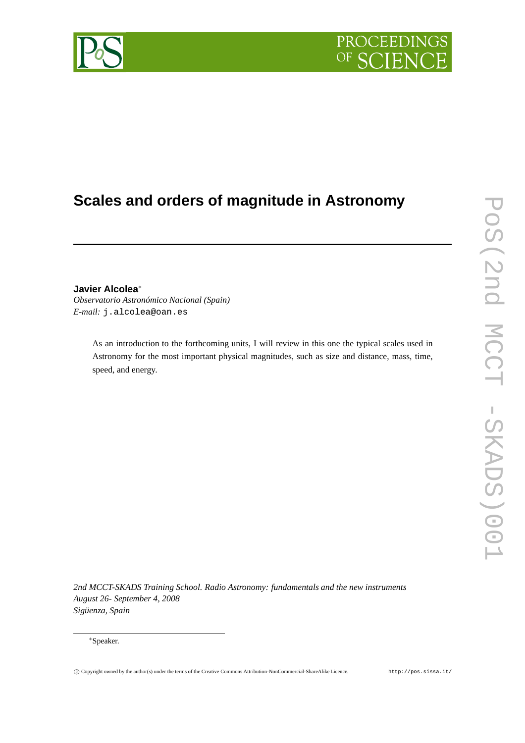

# **Scales and orders of magnitude in Astronomy**

# **Javier Alcolea**<sup>∗</sup>

*Observatorio Astronómico Nacional (Spain) E-mail:* j.alcolea@oan.es

> As an introduction to the forthcoming units, I will review in this one the typical scales used in Astronomy for the most important physical magnitudes, such as size and distance, mass, time, speed, and energy.

*2nd MCCT-SKADS Training School. Radio Astronomy: fundamentals and the new instruments August 26- September 4, 2008 Sigüenza, Spain*

### <sup>∗</sup>Speaker.

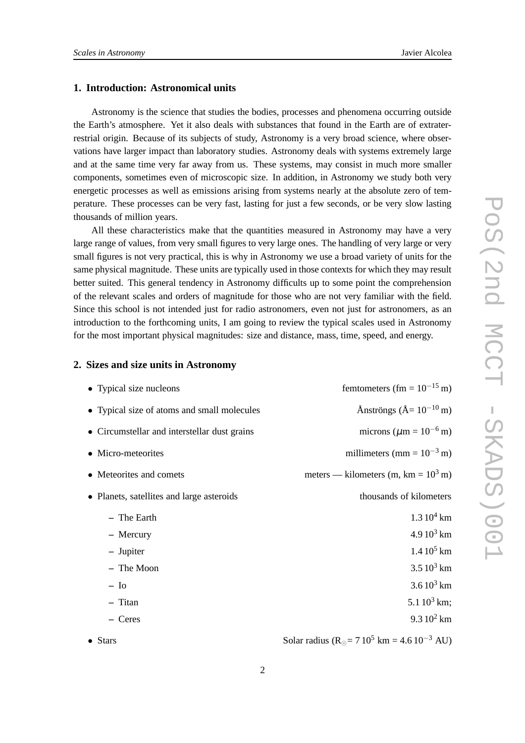# **1. Introduction: Astronomical units**

Astronomy is the science that studies the bodies, processes and phenomena occurring outside the Earth's atmosphere. Yet it also deals with substances that found in the Earth are of extraterrestrial origin. Because of its subjects of study, Astronomy is a very broad science, where observations have larger impact than laboratory studies. Astronomy deals with systems extremely large and at the same time very far away from us. These systems, may consist in much more smaller components, sometimes even of microscopic size. In addition, in Astronomy we study both very energetic processes as well as emissions arising from systems nearly at the absolute zero of temperature. These processes can be very fast, lasting for just a few seconds, or be very slow lasting thousands of million years.

All these characteristics make that the quantities measured in Astronomy may have a very large range of values, from very small figures to very large ones. The handling of very large or very small figures is not very practical, this is why in Astronomy we use a broad variety of units for the same physical magnitude. These units are typically used in those contexts for which they may result better suited. This general tendency in Astronomy difficults up to some point the comprehension of the relevant scales and orders of magnitude for those who are not very familiar with the field. Since this school is not intended just for radio astronomers, even not just for astronomers, as an introduction to the forthcoming units, I am going to review the typical scales used in Astronomy for the most important physical magnitudes: size and distance, mass, time, speed, and energy.

# **2. Sizes and size units in Astronomy**

| • Typical size nucleons                      | femtometers (fm = $10^{-15}$ m)                                      |
|----------------------------------------------|----------------------------------------------------------------------|
| • Typical size of atoms and small molecules  | Ånströngs ( $\AA = 10^{-10}$ m)                                      |
| • Circumstellar and interstellar dust grains | microns ( $\mu$ m = 10 <sup>-6</sup> m)                              |
| • Micro-meteorites                           | millimeters (mm = $10^{-3}$ m)                                       |
| • Meteorites and comets                      | meters — kilometers (m, km = $10^3$ m)                               |
| • Planets, satellites and large asteroids    | thousands of kilometers                                              |
| - The Earth                                  | $1.310^{4}$ km                                                       |
| - Mercury                                    | $4.910^3$ km                                                         |
| - Jupiter                                    | $1.4\,10^5$ km                                                       |
| - The Moon                                   | $3.510^3$ km                                                         |
| $-$ Io                                       | $3.610^3$ km                                                         |
| - Titan                                      | 5.1 $10^3$ km;                                                       |
| - Ceres                                      | $9.310^2$ km                                                         |
| $\bullet$ Stars                              | Solar radius (R <sub>o</sub> = $710^5$ km = 4.6 10 <sup>-3</sup> AU) |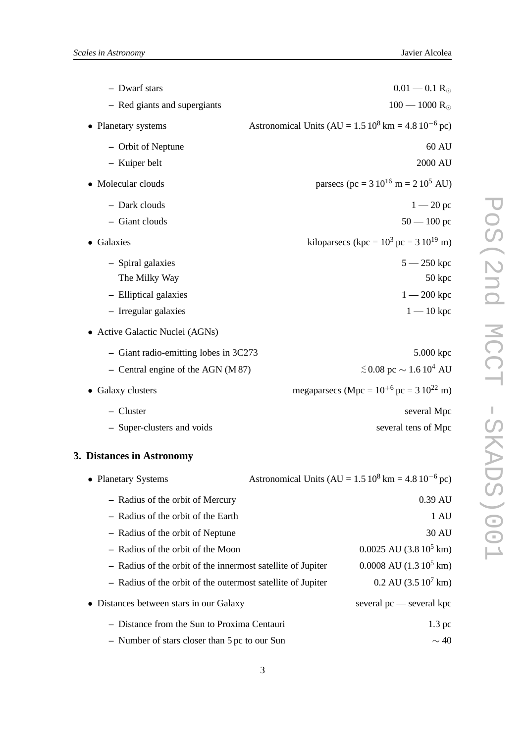| - Dwarf stars                         | $0.01 - 0.1 R_{\odot}$                                     |
|---------------------------------------|------------------------------------------------------------|
| - Red giants and supergiants          | $100 - 1000 R_{\odot}$                                     |
| • Planetary systems                   | Astronomical Units (AU = $1.5 10^8$ km = $4.8 10^{-6}$ pc) |
| - Orbit of Neptune                    | 60 AU                                                      |
| - Kuiper belt                         | 2000 AU                                                    |
| • Molecular clouds                    | parsecs (pc = $310^{16}$ m = $210^5$ AU)                   |
| - Dark clouds                         | $1 - 20 pc$                                                |
| - Giant clouds                        | $50 - 100$ pc                                              |
| • Galaxies                            | kiloparsecs (kpc = $10^3$ pc = $3 10^{19}$ m)              |
| - Spiral galaxies                     | $5 - 250$ kpc                                              |
| The Milky Way                         | 50 kpc                                                     |
| - Elliptical galaxies                 | $1 - 200$ kpc                                              |
| - Irregular galaxies                  | $1 - 10$ kpc                                               |
| • Active Galactic Nuclei (AGNs)       |                                                            |
| - Giant radio-emitting lobes in 3C273 | 5.000 kpc                                                  |
| $-$ Central engine of the AGN (M 87)  | $\lesssim$ 0.08 pc $\sim$ 1.6 10 <sup>4</sup> AU           |
| • Galaxy clusters                     | megaparsecs (Mpc = $10^{+6}$ pc = 3 $10^{22}$ m)           |
| - Cluster                             | several Mpc                                                |

**–** Super-clusters and voids several tens of Mpc

# **3. Distances in Astronomy**

| • Planetary Systems                                         | Astronomical Units (AU = $1.5 10^8$ km = $4.8 10^{-6}$ pc) |
|-------------------------------------------------------------|------------------------------------------------------------|
| - Radius of the orbit of Mercury                            | $0.39 \text{ AU}$                                          |
| - Radius of the orbit of the Earth                          | 1 AU                                                       |
| - Radius of the orbit of Neptune                            | 30 AU                                                      |
| - Radius of the orbit of the Moon                           | $0.0025$ AU $(3.810^5$ km)                                 |
| - Radius of the orbit of the innermost satellite of Jupiter | $0.0008$ AU $(1.310^5$ km)                                 |
| - Radius of the orbit of the outermost satellite of Jupiter | $0.2 \text{ AU}$ (3.5 $10^7 \text{ km}$ )                  |
| • Distances between stars in our Galaxy                     | several $pc$ — several kpc                                 |
| - Distance from the Sun to Proxima Centauri                 | $1.3 \text{ pc}$                                           |
| - Number of stars closer than 5 pc to our Sun               | $\sim$ 40                                                  |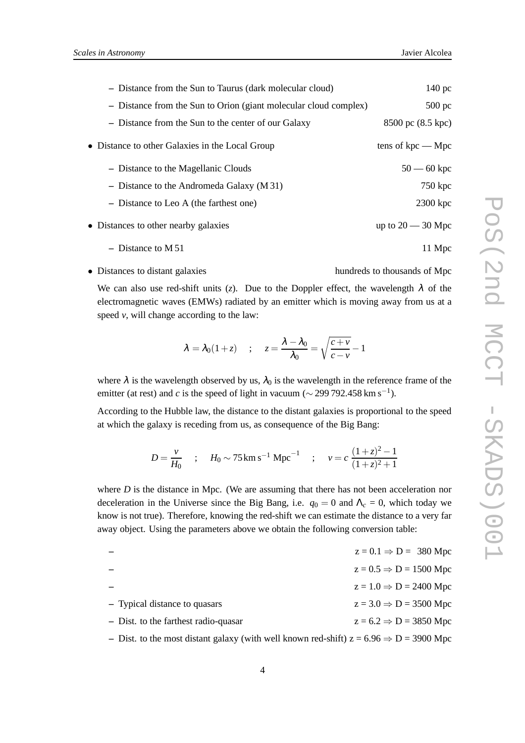| - Distance from the Sun to Taurus (dark molecular cloud)         | 140 <sub>pc</sub>   |
|------------------------------------------------------------------|---------------------|
| - Distance from the Sun to Orion (giant molecular cloud complex) | $500$ pc            |
| - Distance from the Sun to the center of our Galaxy              | 8500 pc (8.5 kpc)   |
| • Distance to other Galaxies in the Local Group                  | tens of $kpc$ — Mpc |
| - Distance to the Magellanic Clouds                              | $50 - 60$ kpc       |
| - Distance to the Andromeda Galaxy $(M31)$                       | $750$ kpc           |
| - Distance to Leo A (the farthest one)                           | 2300 kpc            |
| • Distances to other nearby galaxies                             | up to $20 - 30$ Mpc |
| - Distance to $M51$                                              | 11 Mpc              |

• Distances to distant galaxies hundreds to thousands of Mpc

We can also use red-shift units (*z*). Due to the Doppler effect, the wavelength  $\lambda$  of the electromagnetic waves (EMWs) radiated by an emitter which is moving away from us at a speed  $v$ , will change according to the law:

$$
\lambda = \lambda_0 (1 + z)
$$
 ;  $z = \frac{\lambda - \lambda_0}{\lambda_0} = \sqrt{\frac{c + v}{c - v}} - 1$ 

where  $\lambda$  is the wavelength observed by us,  $\lambda_0$  is the wavelength in the reference frame of the emitter (at rest) and *c* is the speed of light in vacuum ( $\sim$  299 792.458 km s<sup>-1</sup>).

According to the Hubble law, the distance to the distant galaxies is proportional to the speed at which the galaxy is receding from us, as consequence of the Big Bang:

$$
D = \frac{v}{H_0} \quad ; \quad H_0 \sim 75 \,\mathrm{km\,s^{-1}\,Mpc}^{-1} \quad ; \quad v = c \,\frac{(1+z)^2 - 1}{(1+z)^2 + 1}
$$

where *D* is the distance in Mpc. (We are assuming that there has not been acceleration nor deceleration in the Universe since the Big Bang, i.e.  $q_0 = 0$  and  $\Lambda_c = 0$ , which today we know is not true). Therefore, knowing the red-shift we can estimate the distance to a very far away object. Using the parameters above we obtain the following conversion table:

|                                      | $z = 0.1 \Rightarrow D = 380$ Mpc  |
|--------------------------------------|------------------------------------|
|                                      | $z = 0.5 \Rightarrow D = 1500$ Mpc |
|                                      | $z = 1.0 \Rightarrow D = 2400$ Mpc |
| - Typical distance to quasars        | $z = 3.0 \Rightarrow D = 3500$ Mpc |
| - Dist. to the farthest radio-quasar | $z = 6.2 \Rightarrow D = 3850$ Mpc |
|                                      |                                    |

– Dist. to the most distant galaxy (with well known red-shift)  $z = 6.96 \Rightarrow D = 3900$  Mpc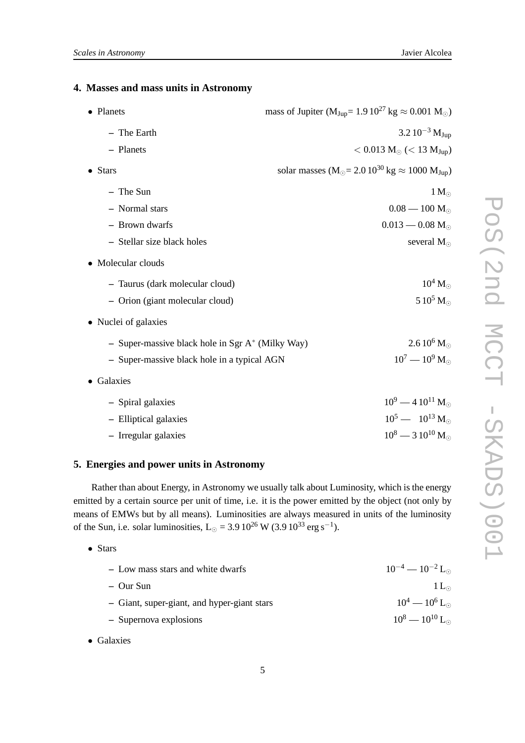# **4. Masses and mass units in Astronomy**

| • Planets                                           | mass of Jupiter ( $M_{Jup} = 1.9 10^{27} kg \approx 0.001 M_{\odot}$ )                         |
|-----------------------------------------------------|------------------------------------------------------------------------------------------------|
| - The Earth                                         | $3.2~10^{-3}$ M <sub>Jup</sub>                                                                 |
| - Planets                                           | $< 0.013 M_{\odot}$ (< 13 M <sub>Jup</sub> )                                                   |
| $\bullet$ Stars                                     | solar masses $(M_{\odot} = 2.0 \, 10^{30} \, \text{kg} \approx 1000 \, \text{M}_{\text{Jup}})$ |
| - The Sun                                           | $1 M_{\odot}$                                                                                  |
| - Normal stars                                      | $0.08 - 100$ M <sub>o</sub>                                                                    |
| - Brown dwarfs                                      | $0.013 - 0.08$ M <sub><math>\odot</math></sub>                                                 |
| - Stellar size black holes                          | several $M_{\odot}$                                                                            |
| • Molecular clouds                                  |                                                                                                |
| - Taurus (dark molecular cloud)                     | $10^4$ M <sub><math>\odot</math></sub>                                                         |
| - Orion (giant molecular cloud)                     | 5 $10^5$ M <sub><math>\odot</math></sub>                                                       |
| • Nuclei of galaxies                                |                                                                                                |
| - Super-massive black hole in Sgr $A^*$ (Milky Way) | $2.610^6$ M <sub><math>\odot</math></sub>                                                      |
| - Super-massive black hole in a typical AGN         | $10^7 - 10^9$ M <sub>o</sub>                                                                   |
| • Galaxies                                          |                                                                                                |
| - Spiral galaxies                                   | $10^9 - 410^{11}$ M <sub>o</sub>                                                               |
| - Elliptical galaxies                               | $10^5 - 10^{13}$ M <sub>o</sub>                                                                |
| - Irregular galaxies                                | $10^8 - 3 10^{10}$ M <sub>o</sub>                                                              |

### **5. Energies and power units in Astronomy**

Rather than about Energy, in Astronomy we usually talk about Luminosity, which is the energy emitted by a certain source per unit of time, i.e. it is the power emitted by the object (not only by means of EMWs but by all means). Luminosities are always measured in units of the luminosity of the Sun, i.e. solar luminosities, L<sub>☉</sub> = 3.9  $10^{26}$  W (3.9  $10^{33}$  erg s<sup>-1</sup>).

• Stars

| $10^{-4} - 10^{-2}$ L <sub>o</sub> |
|------------------------------------|
| $1 L_{\odot}$                      |
| $10^4 - 10^6$ L <sub>o</sub>       |
| $10^8 - 10^{10}$ L <sub>o</sub>    |
|                                    |

• Galaxies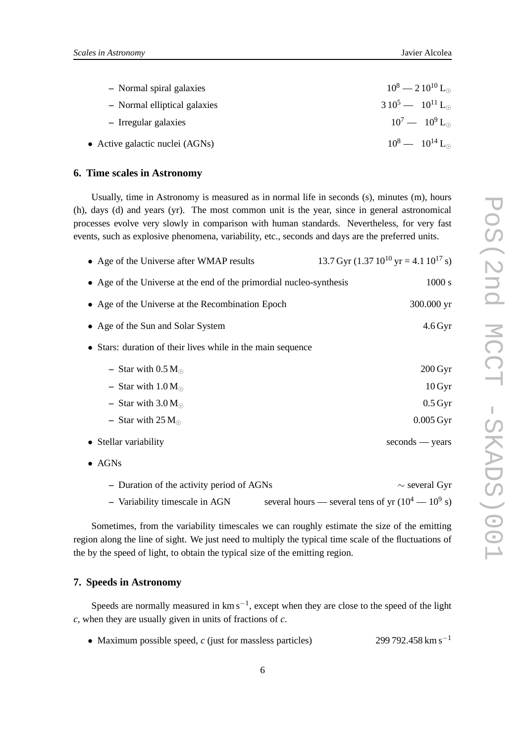| - Normal spiral galaxies        | $10^8 - 210^{10}$ L <sub>o</sub> |
|---------------------------------|----------------------------------|
| - Normal elliptical galaxies    | $310^5 - 10^{11}$ L <sub>o</sub> |
| - Irregular galaxies            | $10^7 - 10^9$ L <sub>o</sub>     |
| • Active galactic nuclei (AGNs) | $10^8 - 10^{14}$ L <sub>o</sub>  |

## **6. Time scales in Astronomy**

Usually, time in Astronomy is measured as in normal life in seconds (s), minutes (m), hours (h), days (d) and years (yr). The most common unit is the year, since in general astronomical processes evolve very slowly in comparison with human standards. Nevertheless, for very fast events, such as explosive phenomena, variability, etc., seconds and days are the preferred units.

| • Age of the Universe after WMAP results                            | 13.7 Gyr $(1.37 \, 10^{10} \, \text{yr} = 4.1 \, 10^{17} \, \text{s})$ |
|---------------------------------------------------------------------|------------------------------------------------------------------------|
| • Age of the Universe at the end of the primordial nucleo-synthesis | 1000 s                                                                 |
| • Age of the Universe at the Recombination Epoch                    | 300.000 yr                                                             |
| • Age of the Sun and Solar System                                   | $4.6$ Gyr                                                              |
| • Stars: duration of their lives while in the main sequence         |                                                                        |
| - Star with $0.5 M_{\odot}$                                         | $200 \,\mathrm{Gyr}$                                                   |
| - Star with $1.0 M_{\odot}$                                         | 10 Gyr                                                                 |
| - Star with $3.0 M_{\odot}$                                         | $0.5\,\mathrm{Gyr}$                                                    |
| - Star with $25 M_{\odot}$                                          | $0.005 \,\mathrm{Gyr}$                                                 |
| • Stellar variability                                               | $seconds - years$                                                      |
| $\bullet$ AGNs                                                      |                                                                        |

**–** Duration of the activity period of AGNs ∼ several Gyr  $-$  Variability timescale in AGN several hours — several tens of yr  $(10^4 - 10^9 s)$ 

Sometimes, from the variability timescales we can roughly estimate the size of the emitting region along the line of sight. We just need to multiply the typical time scale of the fluctuations of the by the speed of light, to obtain the typical size of the emitting region.

### **7. Speeds in Astronomy**

Speeds are normally measured in  $km s^{-1}$ , except when they are close to the speed of the light *c*, when they are usually given in units of fractions of *c*.

• Maximum possible speed, *c* (just for massless particles) 299 792.458 km s−<sup>1</sup>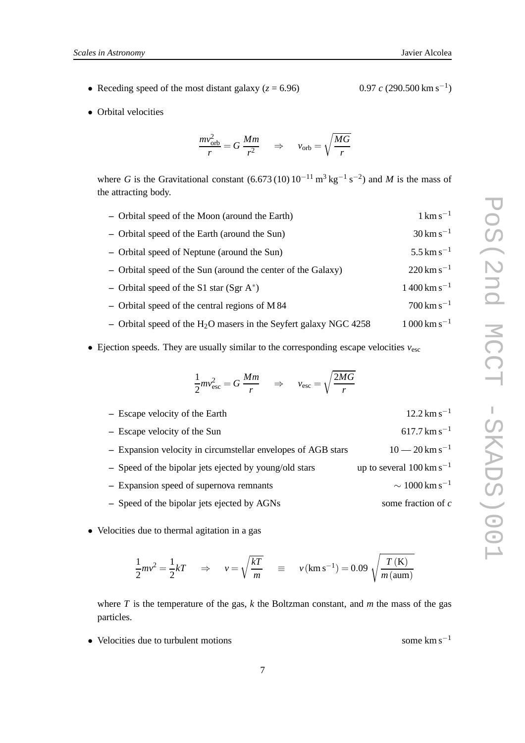- Receding speed of the most distant galaxy  $(z = 6.96)$
- Orbital velocities

$$
\frac{mv_{\rm orb}^2}{r} = G \frac{Mm}{r^2} \quad \Rightarrow \quad v_{\rm orb} = \sqrt{\frac{MG}{r}}
$$

where *G* is the Gravitational constant  $(6.673(10) 10^{-11} \text{ m}^3 \text{ kg}^{-1} \text{ s}^{-2})$  and *M* is the mass of the attracting body.

| - Orbital speed of the Moon (around the Earth)                      | $1 \text{ km s}^{-1}$                  |
|---------------------------------------------------------------------|----------------------------------------|
| - Orbital speed of the Earth (around the Sun)                       | $30 \rm km s^{-1}$                     |
| - Orbital speed of Neptune (around the Sun)                         | $5.5 \,\mathrm{km\,s^{-1}}$            |
| - Orbital speed of the Sun (around the center of the Galaxy)        | $220 \rm km s^{-1}$                    |
| - Orbital speed of the S1 star $(Sgr A^*)$                          | $1400 \,\mathrm{km} \,\mathrm{s}^{-1}$ |
| $-$ Orbital speed of the central regions of M 84                    | $700 \rm km s^{-1}$                    |
| - Orbital speed of the $H_2O$ masers in the Seyfert galaxy NGC 4258 | $1000 \rm km s^{-1}$                   |

• Ejection speeds. They are usually similar to the corresponding escape velocities  $v_{\text{esc}}$ 

$$
\frac{1}{2}mv_{\rm esc}^2 = G\,\frac{Mm}{r} \quad \Rightarrow \quad v_{\rm esc} = \sqrt{\frac{2MG}{r}}
$$

| - Escape velocity of the Earth                               | $12.2 \text{ km s}^{-1}$              |
|--------------------------------------------------------------|---------------------------------------|
| - Escape velocity of the Sun                                 | $617.7 \mathrm{km} \mathrm{s}^{-1}$   |
| - Expansion velocity in circumstellar envelopes of AGB stars | $10-20$ km s <sup>-1</sup>            |
| - Speed of the bipolar jets ejected by young/old stars       | up to several $100 \text{ km s}^{-1}$ |
| - Expansion speed of supernova remnants                      | $\sim 1000 \rm \, km \, s^{-1}$       |
| - Speed of the bipolar jets ejected by AGNs                  | some fraction of $c$                  |

• Velocities due to thermal agitation in a gas

$$
\frac{1}{2}mv^2 = \frac{1}{2}kT \quad \Rightarrow \quad v = \sqrt{\frac{kT}{m}} \quad \equiv \quad v(\text{km s}^{-1}) = 0.09 \sqrt{\frac{T(\text{K})}{m(\text{aum})}}
$$

where *T* is the temperature of the gas, *k* the Boltzman constant, and *m* the mass of the gas particles.

• Velocities due to turbulent motions some km s<sup>−1</sup>

 $0.97\ c\ (290.500\ \mathrm{km\ s^{-1}})$